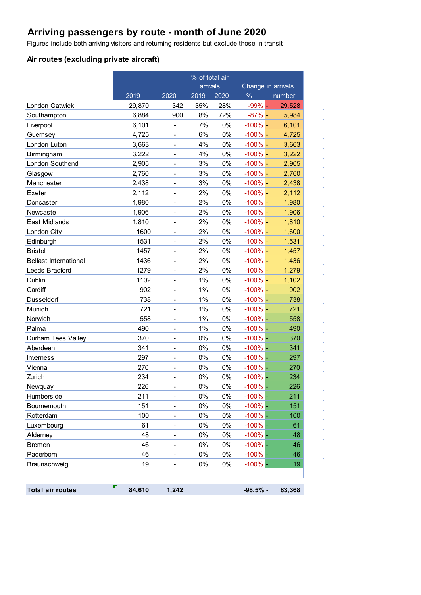# **Arriving passengers by route - month of June 2020**

Figures include both arriving visitors and returning residents but exclude those in transit

#### **Air routes (excluding private aircraft)**

|                              |        |                          | % of total air |       |               |                    |
|------------------------------|--------|--------------------------|----------------|-------|---------------|--------------------|
|                              |        |                          | arrivals       |       |               | Change in arrivals |
|                              | 2019   | 2020                     | 2019           | 2020  | $\frac{0}{6}$ | number             |
| London Gatwick               | 29,870 | 342                      | 35%            | 28%   | $-99%$        | 29,528             |
| Southampton                  | 6,884  | 900                      | 8%             | 72%   | $-87%$ -      | 5,984              |
| Liverpool                    | 6,101  | $\overline{a}$           | 7%             | 0%    | $-100% -$     | 6,101              |
| Guernsey                     | 4,725  | $\blacksquare$           | 6%             | $0\%$ | $-100\%$ -    | 4,725              |
| London Luton                 | 3,663  | -                        | 4%             | $0\%$ | $-100% -$     | 3,663              |
| Birmingham                   | 3,222  | -                        | 4%             | 0%    | $-100\%$ -    | 3,222              |
| London Southend              | 2,905  |                          | 3%             | $0\%$ | $-100%$ -     | 2,905              |
| Glasgow                      | 2,760  | $\overline{\phantom{0}}$ | 3%             | 0%    | $-100%$ -     | 2,760              |
| Manchester                   | 2,438  | $\blacksquare$           | 3%             | 0%    | $-100\%$ -    | 2,438              |
| Exeter                       | 2,112  | $\overline{a}$           | 2%             | 0%    | $-100%$ -     | 2,112              |
| Doncaster                    | 1,980  | $\blacksquare$           | 2%             | 0%    | $-100%$ -     | 1,980              |
| Newcaste                     | 1,906  | $\overline{\phantom{0}}$ | 2%             | 0%    | $-100\%$ -    | 1,906              |
| East Midlands                | 1,810  | $\overline{\phantom{a}}$ | 2%             | 0%    | $-100%$ -     | 1,810              |
| London City                  | 1600   |                          | 2%             | $0\%$ | $-100%$ -     | 1,600              |
| Edinburgh                    | 1531   | L,                       | 2%             | 0%    | $-100%$ -     | 1,531              |
| <b>Bristol</b>               | 1457   | $\overline{\phantom{a}}$ | 2%             | 0%    | $-100\%$ –    | 1,457              |
| <b>Belfast International</b> | 1436   | $\overline{a}$           | 2%             | 0%    | $-100%$ -     | 1,436              |
| Leeds Bradford               | 1279   | $\blacksquare$           | 2%             | $0\%$ | $-100%$ -     | 1,279              |
| Dublin                       | 1102   | $\overline{\phantom{0}}$ | 1%             | $0\%$ | $-100% -$     | 1,102              |
| Cardiff                      | 902    | $\overline{\phantom{a}}$ | 1%             | 0%    | $-100%$ -     | 902                |
| Dusseldorf                   | 738    |                          | 1%             | $0\%$ | $-100%$ –     | 738                |
| Munich                       | 721    | $\overline{\phantom{0}}$ | 1%             | 0%    | $-100%$ -     | 721                |
| Norwich                      | 558    | $\overline{\phantom{a}}$ | 1%             | 0%    | $-100%$ -     | 558                |
| Palma                        | 490    | ÷,                       | 1%             | 0%    | $-100\%$ –    | 490                |
| Durham Tees Valley           | 370    | $\blacksquare$           | 0%             | $0\%$ | $-100%$ -     | 370                |
| Aberdeen                     | 341    | $\overline{a}$           | 0%             | $0\%$ | $-100%$ -     | 341                |
| Inverness                    | 297    | $\overline{\phantom{a}}$ | 0%             | 0%    | $-100%$ –     | 297                |
| Vienna                       | 270    |                          | 0%             | $0\%$ | $-100%$ -     | 270                |
| Zurich                       | 234    | $\overline{a}$           | 0%             | 0%    | $-100%$       | 234                |
| <b>Newquay</b>               | 226    |                          | 0%             | $0\%$ | $-100%$       | 226                |
| Humberside                   | 211    | $\overline{\phantom{0}}$ | 0%             | 0%    | $-100%$ –     | 211                |
| Bournemouth                  | 151    | -                        | 0%             | 0%    | $-100%$ -     | 151                |
| Rotterdam                    | 100    | -                        | 0%             | 0%    | $-100%$ -     | 100                |
| Luxembourg                   | 61     | -                        | 0%             | 0%    | $-100%$ -     | 61                 |
| Alderney                     | 48     |                          | 0%             | 0%    | $-100\%$      | 48                 |
| <b>Bremen</b>                | 46     | -                        | 0%             | 0%    | $-100\%$      | 46                 |
| Paderborn                    | 46     | -                        | 0%             | 0%    | $-100%$ -     | 46                 |
| Braunschweig                 | 19     | -                        | 0%             | 0%    | $-100%$ -     | 19                 |
|                              |        |                          |                |       |               |                    |
| <b>Total air routes</b>      | 84,610 | 1,242                    |                |       | $-98.5%$ -    | 83,368             |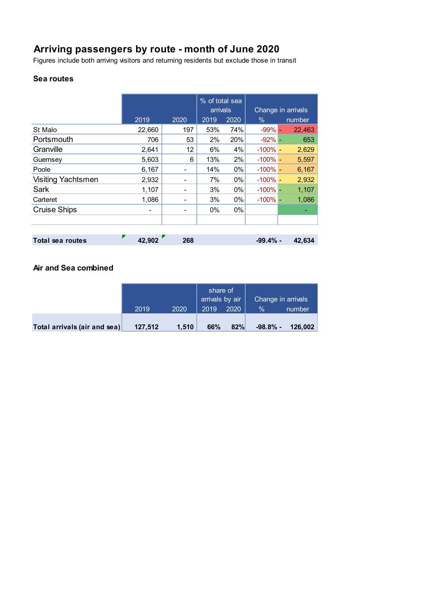## **Arriving passengers by route - month of June 2020**

Figures include both arriving visitors and returning residents but exclude those in transit

#### **Sea routes**

|                     |        |      | % of total sea<br>arrivals |       | Change in arrivals |        |
|---------------------|--------|------|----------------------------|-------|--------------------|--------|
|                     | 2019   | 2020 | 2019                       | 2020  | $\%$               | number |
| St Malo             | 22,660 | 197  | 53%                        | 74%   | $-99\%$ $-$        | 22,463 |
| Portsmouth          | 706    | 53   | 2%                         | 20%   | $-92% -$           | 653    |
| Granville           | 2,641  | 12   | 6%                         | 4%    | $-100\%$ -         | 2,629  |
| Guernsey            | 5,603  | 6    | 13%                        | 2%    | $-100\% -$         | 5,597  |
| Poole               | 6,167  | -    | 14%                        | 0%    | $-100\%$ -         | 6,167  |
| Visiting Yachtsmen  | 2,932  | ۰    | 7%                         | 0%    | $-100\%$ -         | 2,932  |
| Sark                | 1,107  | ۰    | 3%                         | $0\%$ | $-100\%$ -         | 1,107  |
| Carteret            | 1,086  |      | 3%                         | $0\%$ | $-100\%$ -         | 1,086  |
| <b>Cruise Ships</b> |        |      | $0\%$                      | 0%    |                    |        |
|                     |        |      |                            |       |                    |        |
|                     |        |      |                            |       |                    |        |
| Total sea routes    | 42,902 | 268  |                            |       | -99.4% -           | 42,634 |

### **Air and Sea combined**

|                              |         |       | share of<br>arrivals by air |      | Change in arrivals |         |
|------------------------------|---------|-------|-----------------------------|------|--------------------|---------|
|                              | 2019    | 2020  | 2019                        | 2020 | $\frac{0}{2}$      | number  |
| Total arrivals (air and sea) | 127,512 | 1.510 | 66%                         | 82%  | -98.8% -           | 126.002 |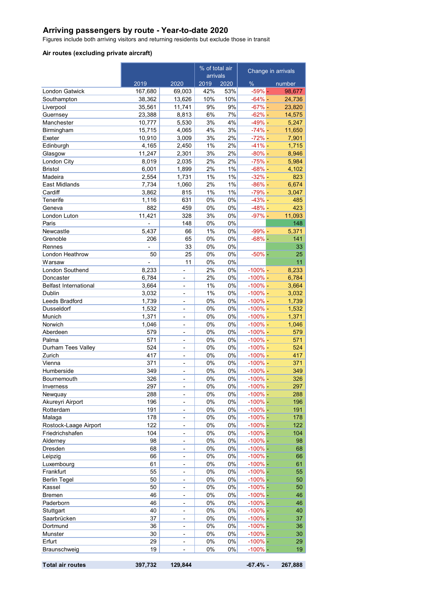#### **Arriving passengers by route - Year-to-date 2020**

Figures include both arriving visitors and returning residents but exclude those in transit

#### **Air routes (excluding private aircraft)**

|                              |                |                              | % of total air<br>arrivals |          | Change in arrivals     |            |
|------------------------------|----------------|------------------------------|----------------------------|----------|------------------------|------------|
|                              | 2019           | 2020                         | 2019                       | 2020     | $\%$                   | number     |
| London Gatwick               | 167,680        | 69,003                       | 42%                        | 53%      | $-59\%$ -              | 98,677     |
| Southampton                  | 38,362         | 13,626                       | 10%                        | 10%      | $-64% -$               | 24,736     |
| Liverpool                    | 35,561         | 11,741                       | 9%                         | 9%       | $-67% -$               | 23,820     |
| Guernsey                     | 23,388         | 8,813                        | 6%                         | 7%       | $-62% -$               | 14,575     |
| Manchester                   | 10,777         | 5,530                        | 3%                         | 4%       | $-49% -$               | 5,247      |
| Birmingham                   | 15,715         | 4,065                        | 4%                         | 3%       | $-74%$ -               | 11,650     |
| Exeter                       | 10,910         | 3,009                        | 3%                         | 2%       | $-72%$ -               | 7,901      |
| Edinburgh                    | 4,165          | 2,450                        | 1%                         | 2%       | $-41% -$               | 1,715      |
| Glasgow                      | 11,247         | 2,301                        | 3%                         | 2%       | $-80% -$               | 8,946      |
| London City                  | 8,019          | 2,035                        | 2%                         | 2%       | $-75%$ -               | 5,984      |
| <b>Bristol</b>               | 6,001          | 1,899                        | 2%                         | 1%       | $-68% -$               | 4,102      |
| Madeira                      | 2,554          | 1,731                        | 1%                         | 1%       | $-32%$ -               | 823        |
| East Midlands                | 7,734          | 1,060                        | 2%                         | 1%       | $-86%$ -               | 6,674      |
| Cardiff                      | 3,862          | 815                          | 1%                         | 1%       | $-79% -$               | 3,047      |
| Tenerife                     | 1,116<br>882   | 631<br>459                   | 0%<br>0%                   | 0%<br>0% | $-43% -$<br>$-48% -$   | 485<br>423 |
| Geneva<br>London Luton       | 11,421         | 328                          | 3%                         | 0%       | $-97%$ -               | 11,093     |
| Paris                        | $\overline{a}$ | 148                          | 0%                         | 0%       |                        | 148        |
| Newcastle                    | 5,437          | 66                           | 1%                         | 0%       | $-99% -$               | 5,371      |
| Grenoble                     | 206            | 65                           | 0%                         | 0%       | $-68%$ -               | 141        |
| Rennes                       |                | 33                           | 0%                         | 0%       |                        | 33         |
| London Heathrow              | 50             | 25                           | 0%                         | 0%       | $-50%$ -               | 25         |
| Warsaw                       |                | 11                           | 0%                         | 0%       |                        | 11         |
| London Southend              | 8,233          | $\overline{a}$               | 2%                         | 0%       | $-100%$ -              | 8,233      |
| Doncaster                    | 6,784          | $\overline{\phantom{a}}$     | 2%                         | 0%       | $-100\%$ -             | 6,784      |
| <b>Belfast International</b> | 3,664          | $\overline{\phantom{a}}$     | 1%                         | 0%       | $-100\%$ -             | 3,664      |
| Dublin                       | 3,032          | ä,                           | 1%                         | 0%       | $-100\%$ -             | 3,032      |
| Leeds Bradford               | 1,739          | $\blacksquare$               | 0%                         | 0%       | $-100\%$ -             | 1,739      |
| Dusseldorf                   | 1,532          | $\overline{\phantom{a}}$     | 0%                         | 0%       | $-100% -$              | 1,532      |
| Munich                       | 1,371          | ä,                           | 0%                         | 0%       | $-100%$ -              | 1,371      |
| Norwich                      | 1,046          | $\overline{\phantom{a}}$     | 0%                         | 0%       | $-100\%$ -             | 1,046      |
| Aberdeen                     | 579            | $\overline{\phantom{a}}$     | 0%                         | 0%       | $-100\%$ -             | 579        |
| Palma                        | 571            | $\blacksquare$               | $0\%$                      | 0%       | $-100\%$ -             | 571        |
| Durham Tees Valley           | 524            | $\overline{\phantom{a}}$     | 0%                         | 0%       | $-100\%$ -             | 524        |
| Zurich                       | 417            | $\overline{\phantom{a}}$     | 0%                         | 0%       | $-100\%$ -             | 417        |
| Vienna                       | 371            | ÷,                           | 0%                         | 0%       | $-100\%$ -             | 371        |
| Humberside                   | 349            | ٠                            | 0%                         | 0%       | $-100\%$ -             | 349        |
| Bournemouth                  | 326            | -                            | 0%                         | 0%       | $-100\%$ -             | 326        |
| Inverness                    | 297            | $\qquad \qquad \blacksquare$ | 0%                         | $0\%$    | $-100\%$ -             | 297        |
| Newquay                      | 288            | ٠                            | 0%                         | 0%       | $-100\%$ -             | 288        |
| Akureyri Airport             | 196            | ÷                            | 0%                         | 0%       | $-100%$ -              | 196        |
| Rotterdam                    | 191            | $\overline{a}$               | 0%                         | 0%       | $-100\%$ -             | 191        |
| Malaga                       | 178            | $\overline{\phantom{0}}$     | 0%                         | 0%       | $-100%$ -              | 178        |
| Rostock-Laage Airport        | 122            | ÷                            | 0%                         | 0%       | $-100%$ -              | 122        |
| Friedrichshafen              | 104            | $\qquad \qquad \blacksquare$ | $0\%$                      | 0%       | $-100%$ -              | 104        |
| Alderney<br><b>Dresden</b>   | 98<br>68       | ٠                            | 0%<br>0%                   | 0%       | $-100%$ -<br>$-100%$ - | 98         |
|                              |                | ÷<br>÷,                      |                            | 0%       | $-100%$ -              | 68         |
| Leipzig<br>Luxembourg        | 66<br>61       | $\overline{\phantom{0}}$     | 0%<br>0%                   | 0%<br>0% | $-100%$ -              | 66<br>61   |
| Frankfurt                    | 55             | ÷                            | 0%                         | 0%       | $-100%$ -              | 55         |
| <b>Berlin Tegel</b>          | 50             | ٠                            | 0%                         | 0%       | $-100%$ -              | 50         |
| Kassel                       | 50             | ٠                            | 0%                         | 0%       | $-100%$ -              | 50         |
| <b>Bremen</b>                | 46             | ÷                            | 0%                         | 0%       | $-100%$ -              | 46         |
| Paderborn                    | 46             | $\frac{1}{2}$                | 0%                         | 0%       | $-100%$ -              | 46         |
| Stuttgart                    | 40             | $\overline{\phantom{0}}$     | 0%                         | 0%       | $-100%$ -              | 40         |
| Saarbrücken                  | 37             | ÷                            | 0%                         | 0%       | $-100%$ -              | 37         |
| Dortmund                     | 36             | ٠                            | 0%                         | 0%       | $-100%$ -              | 36         |
| Munster                      | 30             | ٠                            | $0\%$                      | 0%       | $-100%$                | 30         |
| Erfurt                       | 29             |                              | 0%                         | 0%       | $-100%$ -              | 29         |
| Braunschweig                 | 19             | L,                           | 0%                         | 0%       | $-100%$ -              | 19         |
|                              |                |                              |                            |          |                        |            |

| <b>Total air routes</b><br>397,732 129,844 |  | $-67.4\% - 267.888$ |  |
|--------------------------------------------|--|---------------------|--|
|--------------------------------------------|--|---------------------|--|